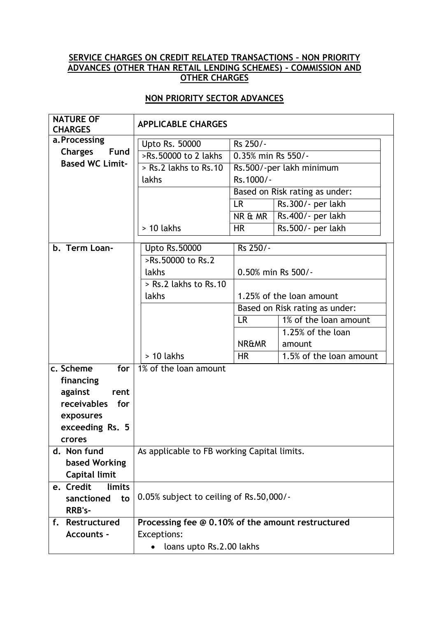## **SERVICE CHARGES ON CREDIT RELATED TRANSACTIONS – NON PRIORITY ADVANCES (OTHER THAN RETAIL LENDING SCHEMES) - COMMISSION AND OTHER CHARGES**

## **NON PRIORITY SECTOR ADVANCES**

| <b>NATURE OF</b><br><b>CHARGES</b>      | <b>APPLICABLE CHARGES</b>                         |                          |                                |  |
|-----------------------------------------|---------------------------------------------------|--------------------------|--------------------------------|--|
| a.Processing                            | Upto Rs. 50000                                    | Rs 250/-                 |                                |  |
| <b>Charges</b><br>Fund                  | >Rs.50000 to 2 lakhs                              | 0.35% min Rs 550/-       |                                |  |
| <b>Based WC Limit-</b>                  | $\overline{>$ Rs.2 lakhs to Rs.10                 | Rs.500/-per lakh minimum |                                |  |
|                                         | lakhs                                             | Rs.1000/-                |                                |  |
|                                         |                                                   |                          | Based on Risk rating as under: |  |
|                                         |                                                   | <b>LR</b>                | Rs.300/- per lakh              |  |
|                                         |                                                   | NR & MR                  | Rs.400/- per lakh              |  |
|                                         | $> 10$ lakhs                                      | <b>HR</b>                | Rs.500/- per lakh              |  |
| b. Term Loan-                           | <b>Upto Rs.50000</b>                              | Rs 250/-                 |                                |  |
|                                         | >Rs.50000 to Rs.2                                 |                          |                                |  |
|                                         | lakhs                                             |                          | 0.50% min Rs 500/-             |  |
|                                         | > Rs.2 lakhs to Rs.10                             |                          |                                |  |
|                                         | lakhs                                             |                          | 1.25% of the loan amount       |  |
|                                         |                                                   |                          | Based on Risk rating as under: |  |
|                                         |                                                   | <b>LR</b>                | 1% of the loan amount          |  |
|                                         |                                                   |                          | $1.25%$ of the loan            |  |
|                                         |                                                   | <b>NR&amp;MR</b>         | amount                         |  |
|                                         | $> 10$ lakhs                                      | <b>HR</b>                | 1.5% of the loan amount        |  |
| c. Scheme<br>for                        | 1% of the loan amount                             |                          |                                |  |
| financing                               |                                                   |                          |                                |  |
| against<br>rent                         |                                                   |                          |                                |  |
| receivables<br>for                      |                                                   |                          |                                |  |
| exposures                               |                                                   |                          |                                |  |
| exceeding Rs. 5                         |                                                   |                          |                                |  |
| <b>crores</b>                           |                                                   |                          |                                |  |
| d. Non fund                             | As applicable to FB working Capital limits.       |                          |                                |  |
| based Working                           |                                                   |                          |                                |  |
| Capital limit                           |                                                   |                          |                                |  |
| e. Credit<br>limits<br>sanctioned<br>to | 0.05% subject to ceiling of Rs.50,000/-           |                          |                                |  |
| RRB's-                                  |                                                   |                          |                                |  |
| Restructured<br>f.                      | Processing fee @ 0.10% of the amount restructured |                          |                                |  |
| <b>Accounts -</b>                       | Exceptions:                                       |                          |                                |  |
|                                         | loans upto Rs.2.00 lakhs                          |                          |                                |  |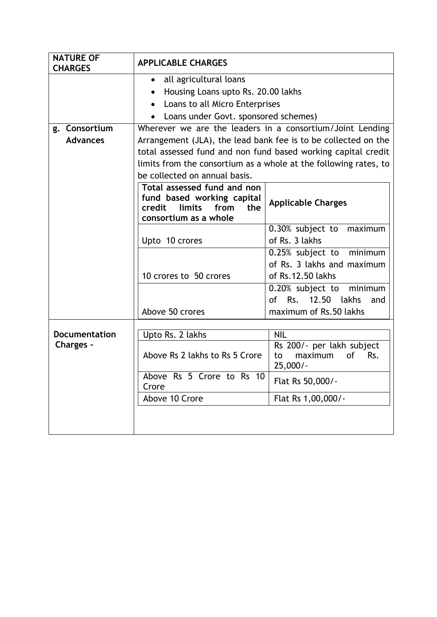| <b>NATURE OF</b><br><b>CHARGES</b> | <b>APPLICABLE CHARGES</b>                                                                                                                                                                                                                                                                         |                                                                                                                                                                      |  |  |  |
|------------------------------------|---------------------------------------------------------------------------------------------------------------------------------------------------------------------------------------------------------------------------------------------------------------------------------------------------|----------------------------------------------------------------------------------------------------------------------------------------------------------------------|--|--|--|
|                                    | all agricultural loans<br>$\bullet$<br>Housing Loans upto Rs. 20.00 lakhs<br>Loans to all Micro Enterprises<br>Loans under Govt. sponsored schemes)                                                                                                                                               |                                                                                                                                                                      |  |  |  |
| g. Consortium<br><b>Advances</b>   | Wherever we are the leaders in a consortium/Joint Lending<br>Arrangement (JLA), the lead bank fee is to be collected on the<br>total assessed fund and non fund based working capital credit<br>limits from the consortium as a whole at the following rates, to<br>be collected on annual basis. |                                                                                                                                                                      |  |  |  |
|                                    | Total assessed fund and non<br>fund based working capital<br><b>Applicable Charges</b><br>credit<br>limits<br>from<br>the<br>consortium as a whole                                                                                                                                                |                                                                                                                                                                      |  |  |  |
|                                    | 0.30% subject to<br>maximum<br>of Rs. 3 lakhs<br>Upto 10 crores                                                                                                                                                                                                                                   |                                                                                                                                                                      |  |  |  |
|                                    | 10 crores to 50 crores<br>Above 50 crores                                                                                                                                                                                                                                                         | 0.25% subject to minimum<br>of Rs. 3 lakhs and maximum<br>of Rs.12.50 lakhs<br>0.20% subject to minimum<br>Rs.<br>12.50 lakhs<br>of<br>and<br>maximum of Rs.50 lakhs |  |  |  |
|                                    |                                                                                                                                                                                                                                                                                                   |                                                                                                                                                                      |  |  |  |
| Documentation<br>Charges -         | Upto Rs. 2 lakhs<br>Above Rs 2 lakhs to Rs 5 Crore                                                                                                                                                                                                                                                | <b>NIL</b><br>Rs 200/- per lakh subject<br><b>of</b><br>maximum<br>Rs.<br>to<br>$25,000/-$                                                                           |  |  |  |
|                                    | Above Rs 5 Crore to Rs 10<br>Crore                                                                                                                                                                                                                                                                | Flat Rs 50,000/-                                                                                                                                                     |  |  |  |
|                                    | Above 10 Crore                                                                                                                                                                                                                                                                                    | Flat Rs 1,00,000/-                                                                                                                                                   |  |  |  |
|                                    |                                                                                                                                                                                                                                                                                                   |                                                                                                                                                                      |  |  |  |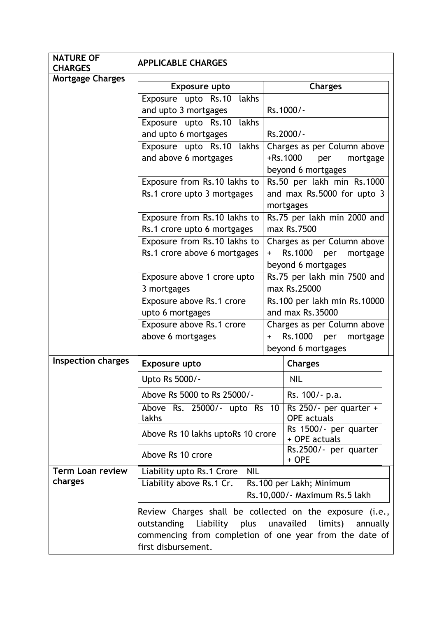| <b>NATURE OF</b><br><b>CHARGES</b> | <b>APPLICABLE CHARGES</b>                                |                                                  |                                                            |  |
|------------------------------------|----------------------------------------------------------|--------------------------------------------------|------------------------------------------------------------|--|
| <b>Mortgage Charges</b>            |                                                          |                                                  |                                                            |  |
|                                    | Exposure upto                                            |                                                  | <b>Charges</b>                                             |  |
|                                    | Exposure upto Rs.10 lakhs                                |                                                  |                                                            |  |
|                                    | and upto 3 mortgages                                     |                                                  | Rs.1000/-                                                  |  |
|                                    | Exposure upto Rs.10 lakhs                                |                                                  | Rs.2000/-                                                  |  |
|                                    | and upto 6 mortgages<br>lakhs                            |                                                  |                                                            |  |
|                                    | Exposure upto Rs.10<br>and above 6 mortgages             |                                                  | Charges as per Column above<br>+Rs.1000<br>per<br>mortgage |  |
|                                    |                                                          |                                                  |                                                            |  |
|                                    | Exposure from Rs.10 lakhs to                             | beyond 6 mortgages<br>Rs.50 per lakh min Rs.1000 |                                                            |  |
|                                    | Rs.1 crore upto 3 mortgages                              |                                                  | and max Rs.5000 for upto 3                                 |  |
|                                    |                                                          |                                                  | mortgages                                                  |  |
|                                    | Exposure from Rs.10 lakhs to                             |                                                  | Rs.75 per lakh min 2000 and                                |  |
|                                    | Rs.1 crore upto 6 mortgages                              |                                                  | max Rs.7500                                                |  |
|                                    | Exposure from Rs.10 lakhs to                             |                                                  | Charges as per Column above                                |  |
|                                    | Rs.1 crore above 6 mortgages                             |                                                  | Rs.1000<br>mortgage<br>per                                 |  |
|                                    |                                                          |                                                  | beyond 6 mortgages                                         |  |
|                                    | Exposure above 1 crore upto                              | Rs.75 per lakh min 7500 and                      |                                                            |  |
|                                    | 3 mortgages                                              | max Rs.25000                                     |                                                            |  |
|                                    | Exposure above Rs.1 crore                                | Rs.100 per lakh min Rs.10000                     |                                                            |  |
|                                    | upto 6 mortgages                                         | and max Rs.35000                                 |                                                            |  |
|                                    | Exposure above Rs.1 crore                                | Charges as per Column above                      |                                                            |  |
|                                    | above 6 mortgages                                        | Rs.1000 per<br>mortgage<br>$\ddag$               |                                                            |  |
|                                    |                                                          | beyond 6 mortgages                               |                                                            |  |
| <b>Inspection charges</b>          | <b>Exposure upto</b>                                     |                                                  | <b>Charges</b>                                             |  |
|                                    | Upto Rs 5000/-                                           |                                                  | NIL                                                        |  |
|                                    | Above Rs 5000 to Rs 25000/-                              |                                                  | Rs. 100/- p.a.                                             |  |
|                                    | Above Rs. 25000/- upto Rs 10                             |                                                  | Rs 250/- per quarter +                                     |  |
|                                    | lakhs                                                    |                                                  | <b>OPE</b> actuals                                         |  |
|                                    | Above Rs 10 lakhs uptoRs 10 crore                        |                                                  | Rs 1500/- per quarter<br>+ OPE actuals                     |  |
|                                    | Above Rs 10 crore                                        | Rs.2500/- per quarter<br>+ OPE                   |                                                            |  |
| <b>Term Loan review</b>            | Liability upto Rs.1 Crore<br><b>NIL</b>                  |                                                  |                                                            |  |
| charges                            | Liability above Rs.1 Cr.                                 |                                                  | Rs.100 per Lakh; Minimum                                   |  |
|                                    |                                                          |                                                  | Rs.10,000/- Maximum Rs.5 lakh                              |  |
|                                    | Review Charges shall be collected on the exposure (i.e., |                                                  |                                                            |  |
|                                    | Liability<br>outstanding                                 |                                                  | plus unavailed<br>limits)<br>annually                      |  |
|                                    | commencing from completion of one year from the date of  |                                                  |                                                            |  |
|                                    | first disbursement.                                      |                                                  |                                                            |  |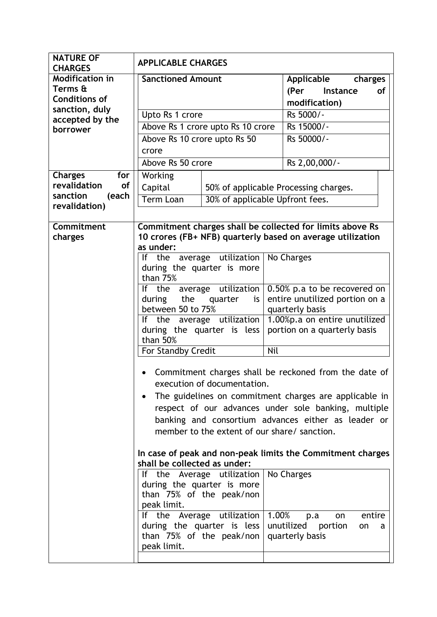| <b>NATURE OF</b><br><b>CHARGES</b>      | <b>APPLICABLE CHARGES</b>                                                                    |                                                        |                                                                                                     |  |
|-----------------------------------------|----------------------------------------------------------------------------------------------|--------------------------------------------------------|-----------------------------------------------------------------------------------------------------|--|
| <b>Modification in</b><br>Terms &       | <b>Sanctioned Amount</b>                                                                     |                                                        | Applicable<br>charges<br>(Per<br>Instance<br><b>of</b>                                              |  |
| <b>Conditions of</b>                    |                                                                                              |                                                        | modification)                                                                                       |  |
| sanction, duly<br>accepted by the       | Upto Rs 1 crore                                                                              |                                                        | Rs 5000/-                                                                                           |  |
| borrower                                |                                                                                              | Above Rs 1 crore upto Rs 10 crore                      | Rs 15000/-                                                                                          |  |
|                                         | Above Rs 10 crore upto Rs 50                                                                 |                                                        | Rs 50000/-                                                                                          |  |
|                                         | crore                                                                                        |                                                        |                                                                                                     |  |
|                                         | Above Rs 50 crore                                                                            |                                                        | Rs 2,00,000/-                                                                                       |  |
| <b>Charges</b><br>for                   | Working                                                                                      |                                                        |                                                                                                     |  |
| revalidation<br>of<br>sanction<br>(each | Capital                                                                                      |                                                        | 50% of applicable Processing charges.                                                               |  |
| revalidation)                           | <b>Term Loan</b>                                                                             |                                                        | 30% of applicable Upfront fees.                                                                     |  |
|                                         |                                                                                              |                                                        |                                                                                                     |  |
| Commitment                              |                                                                                              |                                                        | Commitment charges shall be collected for limits above Rs                                           |  |
| charges                                 | as under:                                                                                    |                                                        | 10 crores (FB+ NFB) quarterly based on average utilization                                          |  |
|                                         |                                                                                              | If the average utilization                             | No Charges                                                                                          |  |
|                                         |                                                                                              | during the quarter is more                             |                                                                                                     |  |
|                                         | than 75%                                                                                     |                                                        |                                                                                                     |  |
|                                         | 0.50% p.a to be recovered on<br>If the average utilization<br>during<br>the<br>quarter<br>is |                                                        | entire unutilized portion on a                                                                      |  |
|                                         | between 50 to 75%                                                                            |                                                        | quarterly basis                                                                                     |  |
|                                         | If the average utilization                                                                   |                                                        | 1.00%p.a on entire unutilized                                                                       |  |
|                                         | than 50%                                                                                     | during the quarter is less                             | portion on a quarterly basis                                                                        |  |
|                                         | For Standby Credit                                                                           |                                                        | Nil                                                                                                 |  |
|                                         |                                                                                              |                                                        |                                                                                                     |  |
|                                         |                                                                                              |                                                        | Commitment charges shall be reckoned from the date of                                               |  |
|                                         |                                                                                              | execution of documentation.                            |                                                                                                     |  |
|                                         |                                                                                              |                                                        | The guidelines on commitment charges are applicable in                                              |  |
|                                         |                                                                                              |                                                        | respect of our advances under sole banking, multiple                                                |  |
|                                         |                                                                                              |                                                        | banking and consortium advances either as leader or<br>member to the extent of our share/ sanction. |  |
|                                         |                                                                                              |                                                        |                                                                                                     |  |
|                                         |                                                                                              |                                                        | In case of peak and non-peak limits the Commitment charges                                          |  |
|                                         | shall be collected as under:                                                                 |                                                        |                                                                                                     |  |
|                                         |                                                                                              | If the Average utilization                             | No Charges                                                                                          |  |
|                                         |                                                                                              | during the quarter is more<br>than 75% of the peak/non |                                                                                                     |  |
|                                         | peak limit.                                                                                  |                                                        |                                                                                                     |  |
|                                         |                                                                                              | If the Average utilization $ 1.00\% $                  | entire<br>p.a<br>on                                                                                 |  |
|                                         |                                                                                              | during the quarter is less<br>than 75% of the peak/non | unutilized portion<br>on<br>a<br>quarterly basis                                                    |  |
|                                         | peak limit.                                                                                  |                                                        |                                                                                                     |  |
|                                         |                                                                                              |                                                        |                                                                                                     |  |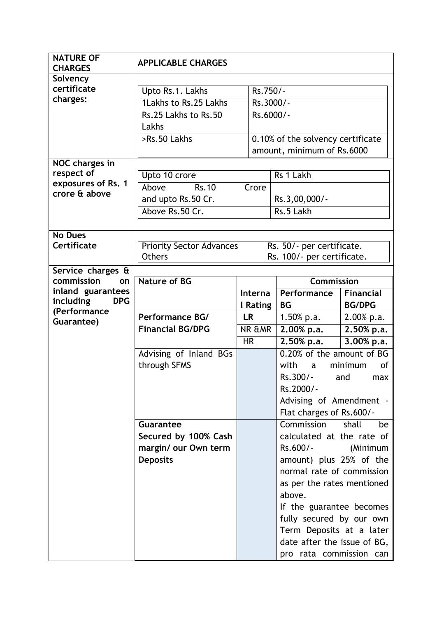| <b>NATURE OF</b><br><b>CHARGES</b>           | <b>APPLICABLE CHARGES</b>                        |                |  |                                   |                  |
|----------------------------------------------|--------------------------------------------------|----------------|--|-----------------------------------|------------------|
| Solvency                                     |                                                  |                |  |                                   |                  |
| certificate                                  | Upto Rs.1. Lakhs                                 | Rs.750/-       |  |                                   |                  |
| charges:                                     | 1Lakhs to Rs.25 Lakhs                            |                |  | Rs.3000/-                         |                  |
|                                              | Rs.25 Lakhs to Rs.50                             |                |  | Rs.6000/-                         |                  |
|                                              | Lakhs                                            |                |  |                                   |                  |
|                                              | >Rs.50 Lakhs                                     |                |  | 0.10% of the solvency certificate |                  |
|                                              |                                                  |                |  | amount, minimum of Rs.6000        |                  |
| NOC charges in                               |                                                  |                |  |                                   |                  |
| respect of                                   | Upto 10 crore                                    |                |  | Rs 1 Lakh                         |                  |
| exposures of Rs. 1                           | Above<br>$\overline{\text{Rs}.10}$               |                |  |                                   |                  |
| crore & above                                |                                                  | Crore          |  |                                   |                  |
|                                              | and upto Rs.50 Cr.                               |                |  | Rs.3,00,000/-                     |                  |
|                                              | Above Rs.50 Cr.                                  |                |  | Rs.5 Lakh                         |                  |
|                                              |                                                  |                |  |                                   |                  |
| <b>No Dues</b>                               |                                                  |                |  |                                   |                  |
| Certificate                                  | <b>Priority Sector Advances</b><br><b>Others</b> |                |  | Rs. 50/- per certificate.         |                  |
|                                              |                                                  |                |  | Rs. 100/- per certificate.        |                  |
| Service charges &                            |                                                  |                |  |                                   |                  |
| commission<br>on                             | <b>Nature of BG</b>                              | <b>Interna</b> |  | <b>Commission</b>                 |                  |
| inland guarantees<br>including<br><b>DPG</b> |                                                  |                |  | Performance                       | <b>Financial</b> |
| (Performance                                 |                                                  | I Rating       |  | <b>BG</b>                         | <b>BG/DPG</b>    |
| Guarantee)                                   | Performance BG/                                  | <b>LR</b>      |  | $1.50\%$ p.a.                     | 2.00% p.a.       |
|                                              | <b>Financial BG/DPG</b>                          | NR &MR         |  | 2.00% p.a.                        | 2.50% p.a.       |
|                                              |                                                  | <b>HR</b>      |  | $2.50%$ p.a.                      | 3.00% p.a.       |
|                                              | Advising of Inland BGs                           |                |  | 0.20% of the amount of BG         |                  |
|                                              | through SFMS                                     |                |  | with<br>minimum<br>0f<br>a        |                  |
|                                              |                                                  |                |  | Rs.300/-                          | and<br>max       |
|                                              |                                                  |                |  | Rs.2000/-                         |                  |
|                                              |                                                  |                |  | Advising of Amendment -           |                  |
|                                              |                                                  |                |  | Flat charges of Rs.600/-          |                  |
|                                              | Guarantee                                        |                |  | Commission                        | shall<br>be      |
|                                              | Secured by 100% Cash                             |                |  | calculated at the rate of         |                  |
|                                              | margin/ our Own term                             |                |  | Rs.600/-                          | (Minimum         |
|                                              | <b>Deposits</b>                                  |                |  | amount) plus 25% of the           |                  |
|                                              |                                                  |                |  | normal rate of commission         |                  |
|                                              |                                                  |                |  | as per the rates mentioned        |                  |
|                                              |                                                  |                |  | above.                            |                  |
|                                              |                                                  |                |  | If the guarantee becomes          |                  |
|                                              |                                                  |                |  | fully secured by our own          |                  |
|                                              |                                                  |                |  | Term Deposits at a later          |                  |
|                                              |                                                  |                |  | date after the issue of BG,       |                  |
|                                              |                                                  |                |  | pro rata commission can           |                  |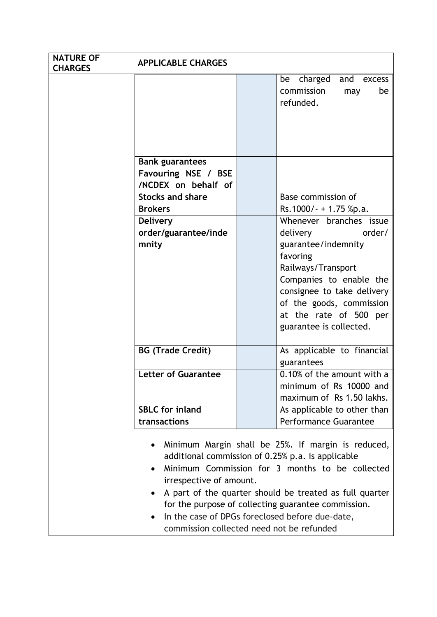| <b>NATURE OF</b><br><b>CHARGES</b> | <b>APPLICABLE CHARGES</b>                                                                                                                                                                                                                                                                                                                                                                                    |  |                                                                                                                                                                                                                                                                                                  |  |
|------------------------------------|--------------------------------------------------------------------------------------------------------------------------------------------------------------------------------------------------------------------------------------------------------------------------------------------------------------------------------------------------------------------------------------------------------------|--|--------------------------------------------------------------------------------------------------------------------------------------------------------------------------------------------------------------------------------------------------------------------------------------------------|--|
|                                    |                                                                                                                                                                                                                                                                                                                                                                                                              |  | charged<br>and<br>be<br>excess<br>commission<br>be<br>may<br>refunded.                                                                                                                                                                                                                           |  |
|                                    | <b>Bank guarantees</b><br>Favouring NSE / BSE<br>/NCDEX on behalf of<br><b>Stocks and share</b><br><b>Brokers</b><br><b>Delivery</b><br>order/guarantee/inde<br>mnity                                                                                                                                                                                                                                        |  | Base commission of<br>Rs.1000/- + 1.75 %p.a.<br>Whenever branches issue<br>order/<br>delivery<br>guarantee/indemnity<br>favoring<br>Railways/Transport<br>Companies to enable the<br>consignee to take delivery<br>of the goods, commission<br>at the rate of 500 per<br>guarantee is collected. |  |
|                                    | <b>BG (Trade Credit)</b>                                                                                                                                                                                                                                                                                                                                                                                     |  | As applicable to financial<br>guarantees                                                                                                                                                                                                                                                         |  |
|                                    | <b>Letter of Guarantee</b>                                                                                                                                                                                                                                                                                                                                                                                   |  | 0.10% of the amount with a<br>minimum of Rs 10000 and<br>maximum of Rs 1.50 lakhs.                                                                                                                                                                                                               |  |
|                                    | <b>SBLC</b> for inland                                                                                                                                                                                                                                                                                                                                                                                       |  | As applicable to other than                                                                                                                                                                                                                                                                      |  |
|                                    | transactions                                                                                                                                                                                                                                                                                                                                                                                                 |  | <b>Performance Guarantee</b>                                                                                                                                                                                                                                                                     |  |
|                                    | Minimum Margin shall be 25%. If margin is reduced,<br>٠<br>additional commission of 0.25% p.a. is applicable<br>Minimum Commission for 3 months to be collected<br>irrespective of amount.<br>A part of the quarter should be treated as full quarter<br>for the purpose of collecting guarantee commission.<br>In the case of DPGs foreclosed before due-date,<br>commission collected need not be refunded |  |                                                                                                                                                                                                                                                                                                  |  |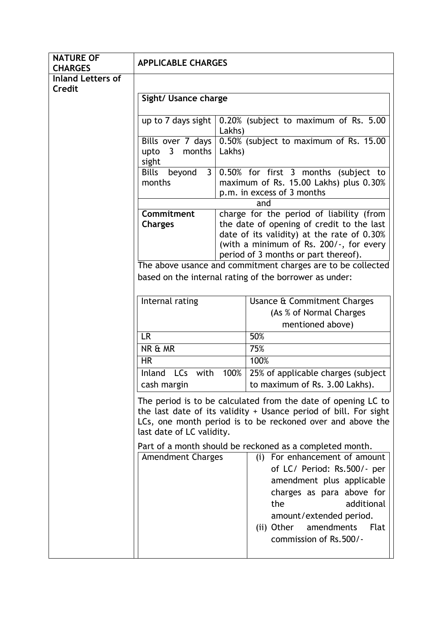| <b>NATURE OF</b><br><b>CHARGES</b> | <b>APPLICABLE CHARGES</b>                                                                                                                                                                                                                              |        |                                                                                                                                                                                                                                                                                                  |  |
|------------------------------------|--------------------------------------------------------------------------------------------------------------------------------------------------------------------------------------------------------------------------------------------------------|--------|--------------------------------------------------------------------------------------------------------------------------------------------------------------------------------------------------------------------------------------------------------------------------------------------------|--|
| <b>Inland Letters of</b>           |                                                                                                                                                                                                                                                        |        |                                                                                                                                                                                                                                                                                                  |  |
| Credit                             | Sight/ Usance charge                                                                                                                                                                                                                                   |        |                                                                                                                                                                                                                                                                                                  |  |
|                                    | up to 7 days sight                                                                                                                                                                                                                                     | Lakhs) | 0.20% (subject to maximum of Rs. 5.00                                                                                                                                                                                                                                                            |  |
|                                    | Bills over 7 days<br>upto<br>$\overline{3}$<br>months<br>sight                                                                                                                                                                                         | Lakhs) | 0.50% (subject to maximum of Rs. 15.00                                                                                                                                                                                                                                                           |  |
|                                    | Bills<br>$\overline{3}$<br>beyond<br>months                                                                                                                                                                                                            |        | 0.50% for first 3 months (subject to<br>maximum of Rs. 15.00 Lakhs) plus 0.30%<br>p.m. in excess of 3 months                                                                                                                                                                                     |  |
|                                    | and                                                                                                                                                                                                                                                    |        |                                                                                                                                                                                                                                                                                                  |  |
|                                    | Commitment<br>charge for the period of liability (from<br>the date of opening of credit to the last<br><b>Charges</b><br>date of its validity) at the rate of 0.30%<br>(with a minimum of Rs. 200/-, for every<br>period of 3 months or part thereof). |        |                                                                                                                                                                                                                                                                                                  |  |
|                                    |                                                                                                                                                                                                                                                        |        | The above usance and commitment charges are to be collected                                                                                                                                                                                                                                      |  |
|                                    |                                                                                                                                                                                                                                                        |        | based on the internal rating of the borrower as under:                                                                                                                                                                                                                                           |  |
|                                    |                                                                                                                                                                                                                                                        |        |                                                                                                                                                                                                                                                                                                  |  |
|                                    | Internal rating                                                                                                                                                                                                                                        |        | Usance & Commitment Charges                                                                                                                                                                                                                                                                      |  |
|                                    |                                                                                                                                                                                                                                                        |        | (As % of Normal Charges                                                                                                                                                                                                                                                                          |  |
|                                    | mentioned above)                                                                                                                                                                                                                                       |        |                                                                                                                                                                                                                                                                                                  |  |
|                                    | <b>LR</b>                                                                                                                                                                                                                                              |        | 50%                                                                                                                                                                                                                                                                                              |  |
|                                    | NR & MR                                                                                                                                                                                                                                                |        | 75%                                                                                                                                                                                                                                                                                              |  |
|                                    | <b>HR</b>                                                                                                                                                                                                                                              |        | 100%                                                                                                                                                                                                                                                                                             |  |
|                                    | Inland LCs with                                                                                                                                                                                                                                        | 100%   | 25% of applicable charges (subject)                                                                                                                                                                                                                                                              |  |
|                                    | cash margin                                                                                                                                                                                                                                            |        | to maximum of Rs. 3.00 Lakhs).                                                                                                                                                                                                                                                                   |  |
|                                    | The period is to be calculated from the date of opening LC to<br>the last date of its validity + Usance period of bill. For sight<br>LCs, one month period is to be reckoned over and above the<br>last date of LC validity.                           |        |                                                                                                                                                                                                                                                                                                  |  |
|                                    | <b>Amendment Charges</b>                                                                                                                                                                                                                               |        | Part of a month should be reckoned as a completed month.<br>(i) For enhancement of amount<br>of LC/ Period: Rs.500/- per<br>amendment plus applicable<br>charges as para above for<br>additional<br>the<br>amount/extended period.<br>amendments<br>Flat<br>(ii) Other<br>commission of Rs.500/- |  |
|                                    |                                                                                                                                                                                                                                                        |        |                                                                                                                                                                                                                                                                                                  |  |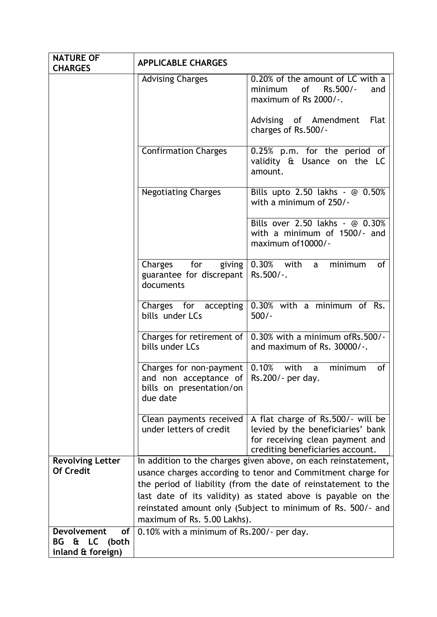| <b>NATURE OF</b>                         | <b>APPLICABLE CHARGES</b>                       |                                                                       |
|------------------------------------------|-------------------------------------------------|-----------------------------------------------------------------------|
| <b>CHARGES</b>                           | <b>Advising Charges</b>                         | 0.20% of the amount of LC with a                                      |
|                                          |                                                 | of<br>Rs.500/-<br>minimum<br>and                                      |
|                                          |                                                 | maximum of Rs 2000/-.                                                 |
|                                          |                                                 |                                                                       |
|                                          |                                                 | Advising of Amendment<br>Flat                                         |
|                                          |                                                 | charges of Rs.500/-                                                   |
|                                          | <b>Confirmation Charges</b>                     | 0.25% p.m. for the period of                                          |
|                                          |                                                 | validity & Usance on the LC                                           |
|                                          |                                                 | amount.                                                               |
|                                          | <b>Negotiating Charges</b>                      | Bills upto 2.50 lakhs - @ 0.50%                                       |
|                                          |                                                 | with a minimum of 250/-                                               |
|                                          |                                                 |                                                                       |
|                                          |                                                 | Bills over 2.50 lakhs - @ 0.30%                                       |
|                                          |                                                 | with a minimum of 1500/- and<br>maximum of 10000/-                    |
|                                          |                                                 |                                                                       |
|                                          | for<br>Charges<br>giving                        | 0.30% with a<br>minimum<br>of                                         |
|                                          | guarantee for discrepant                        | Rs.500/-.                                                             |
|                                          | documents                                       |                                                                       |
|                                          |                                                 | Charges for accepting $\vert 0.30\%$ with a minimum of Rs.            |
|                                          | bills under LCs                                 | $500/-$                                                               |
|                                          |                                                 | Charges for retirement of $\sqrt{0.30\%}$ with a minimum of Rs. 500/- |
|                                          | bills under LCs                                 | and maximum of Rs. 30000/-.                                           |
|                                          |                                                 |                                                                       |
|                                          | Charges for non-payment $\vert 0.10\%$ with a   | minimum<br>of                                                         |
|                                          | and non acceptance of $\vert$ Rs.200/- per day. |                                                                       |
|                                          | bills on presentation/on<br>due date            |                                                                       |
|                                          |                                                 |                                                                       |
|                                          | Clean payments received                         | A flat charge of Rs.500/- will be                                     |
|                                          | under letters of credit                         | levied by the beneficiaries' bank                                     |
|                                          |                                                 | for receiving clean payment and<br>crediting beneficiaries account.   |
| <b>Revolving Letter</b>                  |                                                 | In addition to the charges given above, on each reinstatement,        |
| <b>Of Credit</b>                         |                                                 | usance charges according to tenor and Commitment charge for           |
|                                          |                                                 | the period of liability (from the date of reinstatement to the        |
|                                          |                                                 | last date of its validity) as stated above is payable on the          |
|                                          |                                                 | reinstated amount only (Subject to minimum of Rs. 500/- and           |
|                                          | maximum of Rs. 5.00 Lakhs).                     |                                                                       |
| <b>Devolvement</b><br>of                 | 0.10% with a minimum of Rs.200/- per day.       |                                                                       |
| & LC<br>BG<br>(both<br>inland & foreign) |                                                 |                                                                       |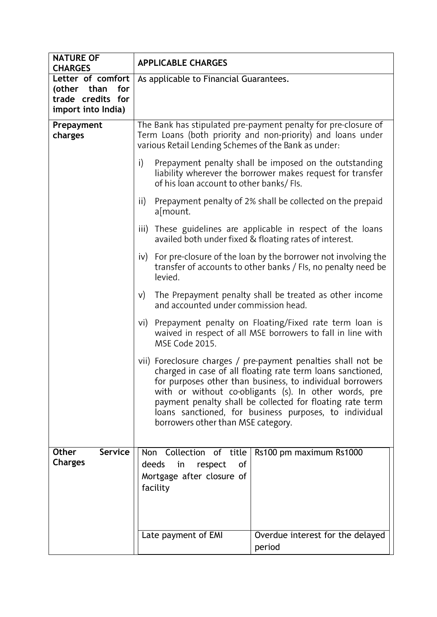| <b>NATURE OF</b><br><b>CHARGES</b>                                                 | <b>APPLICABLE CHARGES</b>                                                                                                                                                                                                                                                                                                                                                                                       |  |  |
|------------------------------------------------------------------------------------|-----------------------------------------------------------------------------------------------------------------------------------------------------------------------------------------------------------------------------------------------------------------------------------------------------------------------------------------------------------------------------------------------------------------|--|--|
| Letter of comfort<br>for<br>(other than<br>trade credits for<br>import into India) | As applicable to Financial Guarantees.                                                                                                                                                                                                                                                                                                                                                                          |  |  |
| Prepayment<br>charges                                                              | The Bank has stipulated pre-payment penalty for pre-closure of<br>Term Loans (both priority and non-priority) and loans under<br>various Retail Lending Schemes of the Bank as under:                                                                                                                                                                                                                           |  |  |
|                                                                                    | i)<br>Prepayment penalty shall be imposed on the outstanding<br>liability wherever the borrower makes request for transfer<br>of his loan account to other banks/ FIs.                                                                                                                                                                                                                                          |  |  |
|                                                                                    | Prepayment penalty of 2% shall be collected on the prepaid<br>$\mathsf{ii}$<br>a[mount.                                                                                                                                                                                                                                                                                                                         |  |  |
|                                                                                    | These guidelines are applicable in respect of the loans<br>iii)<br>availed both under fixed & floating rates of interest.                                                                                                                                                                                                                                                                                       |  |  |
|                                                                                    | For pre-closure of the loan by the borrower not involving the<br>iv)<br>transfer of accounts to other banks / FIs, no penalty need be<br>levied.                                                                                                                                                                                                                                                                |  |  |
|                                                                                    | The Prepayment penalty shall be treated as other income<br>V)<br>and accounted under commission head.                                                                                                                                                                                                                                                                                                           |  |  |
|                                                                                    | Prepayment penalty on Floating/Fixed rate term loan is<br>vi)<br>waived in respect of all MSE borrowers to fall in line with<br>MSE Code 2015.                                                                                                                                                                                                                                                                  |  |  |
|                                                                                    | vii) Foreclosure charges / pre-payment penalties shall not be<br>charged in case of all floating rate term loans sanctioned,<br>for purposes other than business, to individual borrowers<br>with or without co-obligants (s). In other words, pre<br>payment penalty shall be collected for floating rate term<br>loans sanctioned, for business purposes, to individual<br>borrowers other than MSE category. |  |  |
| <b>Service</b><br><b>Other</b><br><b>Charges</b>                                   | Collection of title<br>Non<br>Rs100 pm maximum Rs1000<br>deeds<br>in<br>respect<br>0f<br>Mortgage after closure of<br>facility                                                                                                                                                                                                                                                                                  |  |  |
|                                                                                    | Overdue interest for the delayed<br>Late payment of EMI<br>period                                                                                                                                                                                                                                                                                                                                               |  |  |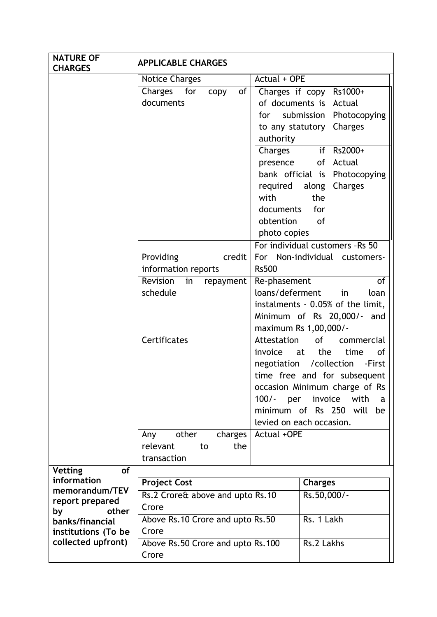| <b>NATURE OF</b><br><b>CHARGES</b> | <b>APPLICABLE CHARGES</b>          |                                                                  |
|------------------------------------|------------------------------------|------------------------------------------------------------------|
|                                    | <b>Notice Charges</b>              | Actual + OPE                                                     |
|                                    | Charges for<br>of<br>copy          | Rs1000+<br>Charges if $copy$                                     |
|                                    | documents                          | of documents is<br>Actual                                        |
|                                    |                                    | submission  <br>Photocopying<br>for                              |
|                                    |                                    | Charges<br>to any statutory                                      |
|                                    |                                    | authority                                                        |
|                                    |                                    | Rs2000+<br>Charges<br>if                                         |
|                                    |                                    | Actual<br>presence<br>$of \mid$                                  |
|                                    |                                    | bank official is<br>Photocopying                                 |
|                                    |                                    | Charges<br>required<br>along                                     |
|                                    |                                    | with<br>the                                                      |
|                                    |                                    | documents<br>for                                                 |
|                                    |                                    | obtention<br><sub>of</sub>                                       |
|                                    |                                    | photo copies                                                     |
|                                    |                                    | For individual customers - Rs 50                                 |
|                                    | Providing<br>credit                | For Non-individual customers-                                    |
|                                    | information reports                | <b>Rs500</b>                                                     |
|                                    | Revision<br>in<br>repayment        | Re-phasement<br><b>of</b>                                        |
|                                    | schedule                           | loans/deferment<br>loan<br>in                                    |
|                                    |                                    | instalments - 0.05% of the limit,                                |
|                                    |                                    | Minimum of Rs 20,000/- and                                       |
|                                    |                                    | maximum Rs 1,00,000/-                                            |
|                                    | <b>Certificates</b>                | of a<br>Attestation<br>commercial                                |
|                                    |                                    | invoice<br>the<br>time<br>of<br>at                               |
|                                    |                                    | negotiation / collection<br>-First                               |
|                                    |                                    | time free and for subsequent                                     |
|                                    |                                    | occasion Minimum charge of Rs                                    |
|                                    |                                    | $100/-$<br>invoice<br>per<br>with<br>a<br>minimum of Rs 250 will |
|                                    |                                    | be<br>levied on each occasion.                                   |
|                                    | other<br>charges<br>Any            | Actual +OPE                                                      |
|                                    | relevant<br>the<br>to              |                                                                  |
|                                    | transaction                        |                                                                  |
| <b>Vetting</b><br><b>of</b>        |                                    |                                                                  |
| information                        | <b>Project Cost</b>                | <b>Charges</b>                                                   |
| memorandum/TEV                     | Rs.2 Crore& above and upto Rs.10   | Rs.50,000/-                                                      |
| report prepared                    | Crore                              |                                                                  |
| other<br>by<br>banks/financial     | Above Rs. 10 Crore and upto Rs. 50 | Rs. 1 Lakh                                                       |
| institutions (To be                | Crore                              |                                                                  |
| collected upfront)                 | Above Rs.50 Crore and upto Rs.100  | Rs.2 Lakhs                                                       |
|                                    | Crore                              |                                                                  |
|                                    |                                    |                                                                  |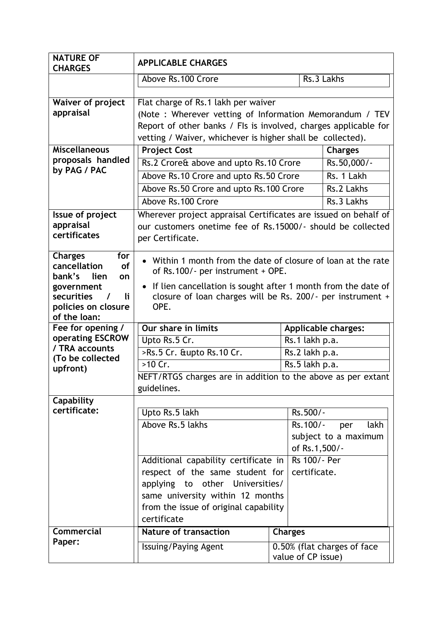| <b>NATURE OF</b><br><b>CHARGES</b>                 | <b>APPLICABLE CHARGES</b>                                                                                                      |                    |                             |  |
|----------------------------------------------------|--------------------------------------------------------------------------------------------------------------------------------|--------------------|-----------------------------|--|
|                                                    | Above Rs. 100 Crore                                                                                                            |                    | Rs.3 Lakhs                  |  |
|                                                    |                                                                                                                                |                    |                             |  |
| <b>Waiver of project</b>                           | Flat charge of Rs.1 lakh per waiver                                                                                            |                    |                             |  |
| appraisal                                          | (Note: Wherever vetting of Information Memorandum / TEV<br>Report of other banks / FIs is involved, charges applicable for     |                    |                             |  |
|                                                    |                                                                                                                                |                    |                             |  |
| <b>Miscellaneous</b>                               | vetting / Waiver, whichever is higher shall be collected).<br><b>Project Cost</b>                                              |                    | <b>Charges</b>              |  |
| proposals handled                                  | Rs.2 Crore& above and upto Rs.10 Crore                                                                                         |                    |                             |  |
| by PAG / PAC                                       |                                                                                                                                |                    | Rs.50,000/-<br>Rs. 1 Lakh   |  |
|                                                    | Above Rs.10 Crore and upto Rs.50 Crore                                                                                         |                    |                             |  |
|                                                    | Above Rs.50 Crore and upto Rs.100 Crore                                                                                        |                    | Rs.2 Lakhs                  |  |
|                                                    | Above Rs. 100 Crore                                                                                                            |                    | Rs.3 Lakhs                  |  |
| <b>Issue of project</b><br>appraisal               | Wherever project appraisal Certificates are issued on behalf of<br>our customers onetime fee of Rs.15000/- should be collected |                    |                             |  |
| certificates                                       | per Certificate.                                                                                                               |                    |                             |  |
|                                                    |                                                                                                                                |                    |                             |  |
| <b>Charges</b><br>for<br>cancellation<br><b>of</b> | Within 1 month from the date of closure of loan at the rate<br>$\bullet$                                                       |                    |                             |  |
| bank's<br>lien<br>on                               | of Rs.100/- per instrument + OPE.                                                                                              |                    |                             |  |
| government                                         | If lien cancellation is sought after 1 month from the date of<br>$\bullet$                                                     |                    |                             |  |
| securities<br>li.<br>$\prime$                      | closure of loan charges will be Rs. 200/- per instrument +                                                                     |                    |                             |  |
| policies on closure<br>of the loan:                | OPE.                                                                                                                           |                    |                             |  |
| Fee for opening /                                  | Our share in limits                                                                                                            |                    | <b>Applicable charges:</b>  |  |
| operating ESCROW                                   | Upto Rs.5 Cr.                                                                                                                  | Rs.1 lakh p.a.     |                             |  |
| / TRA accounts                                     | >Rs.5 Cr. &upto Rs.10 Cr.<br>Rs.2 lakh p.a.                                                                                    |                    |                             |  |
| (To be collected                                   | >10 Cr.                                                                                                                        | Rs.5 lakh p.a.     |                             |  |
| upfront)                                           | NEFT/RTGS charges are in addition to the above as per extant                                                                   |                    |                             |  |
|                                                    | guidelines.                                                                                                                    |                    |                             |  |
| Capability                                         |                                                                                                                                |                    |                             |  |
| certificate:                                       | Upto Rs.5 lakh                                                                                                                 | Rs.500/-           |                             |  |
|                                                    | Above Rs.5 lakhs                                                                                                               | Rs.100/-           | lakh<br>per                 |  |
|                                                    |                                                                                                                                |                    | subject to a maximum        |  |
|                                                    |                                                                                                                                | of Rs.1,500/-      |                             |  |
|                                                    | Additional capability certificate in                                                                                           | Rs 100/- Per       |                             |  |
|                                                    | respect of the same student for                                                                                                | certificate.       |                             |  |
|                                                    | applying to other Universities/                                                                                                |                    |                             |  |
|                                                    | same university within 12 months                                                                                               |                    |                             |  |
|                                                    | from the issue of original capability<br>certificate                                                                           |                    |                             |  |
| Commercial                                         | <b>Nature of transaction</b>                                                                                                   | <b>Charges</b>     |                             |  |
| Paper:                                             | Issuing/Paying Agent                                                                                                           |                    | 0.50% (flat charges of face |  |
|                                                    |                                                                                                                                | value of CP issue) |                             |  |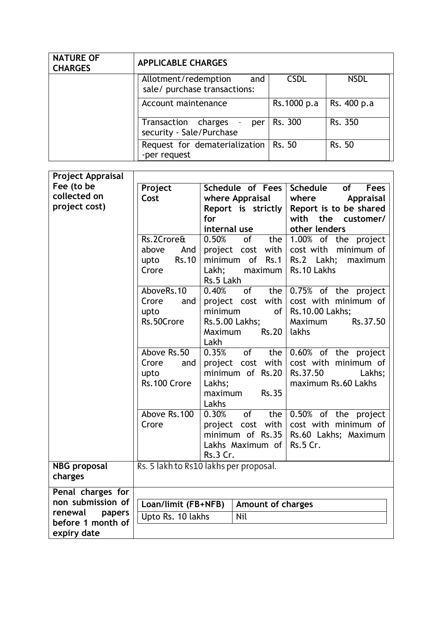| <b>NATURE OF</b><br><b>CHARGES</b> | <b>APPLICABLE CHARGES</b>                                   |             |             |
|------------------------------------|-------------------------------------------------------------|-------------|-------------|
|                                    | Allotment/redemption<br>and<br>sale/ purchase transactions: | <b>CSDL</b> | <b>NSDL</b> |
|                                    | Account maintenance                                         | Rs.1000 p.a | Rs. 400 p.a |
|                                    | Transaction charges - per<br>security - Sale/Purchase       | Rs. 300     | Rs. 350     |
|                                    | Request for dematerialization<br>-per request               | Rs. 50      | Rs. 50      |

| <b>Project Appraisal</b> |                                        |                    |                                     |                 |                                           |  |
|--------------------------|----------------------------------------|--------------------|-------------------------------------|-----------------|-------------------------------------------|--|
| Fee (to be               | Project                                | Schedule of Fees   |                                     |                 | Schedule<br>of<br><b>Fees</b>             |  |
| collected on             | Cost                                   | where Appraisal    |                                     |                 | where<br>Appraisal                        |  |
| project cost)            |                                        | Report is strictly |                                     |                 | Report is to be shared                    |  |
|                          |                                        | for                |                                     |                 | with<br>the customer/                     |  |
|                          |                                        | internal use       |                                     |                 | other lenders                             |  |
|                          | Rs.2Crore&                             | 0.50%              | $\circ$ of $\overline{\phantom{a}}$ | the             | 1.00% of the project                      |  |
|                          | And<br>above                           | project cost with  |                                     |                 | cost with minimum of                      |  |
|                          | <b>Rs.10</b><br>upto                   | minimum of Rs.1    |                                     |                 | Rs.2 Lakh;<br>maximum                     |  |
|                          | Crore                                  | Lakh;              |                                     | maximum         | Rs.10 Lakhs                               |  |
|                          |                                        | Rs.5 Lakh          |                                     |                 |                                           |  |
|                          | AboveRs.10                             | 0.40%              | $o\bar{f}$                          |                 | the $\vert 0.75\%$ of the project         |  |
|                          | Crore<br>and                           | project cost with  |                                     |                 | cost with minimum of                      |  |
|                          | upto                                   | minimum            |                                     | 0f              | Rs.10.00 Lakhs;                           |  |
|                          | Rs.50Crore                             | Rs.5.00 Lakhs;     |                                     |                 | Rs.37.50<br>Maximum                       |  |
|                          |                                        | Maximum            |                                     | $Rs.20$   lakhs |                                           |  |
|                          |                                        | Lakh               |                                     |                 |                                           |  |
|                          | Above Rs.50                            | 0.35%              |                                     |                 | of the $0.60%$ of the project             |  |
|                          | Crore<br>and                           | project cost with  |                                     |                 | cost with minimum of                      |  |
|                          | upto                                   | minimum of Rs.20   |                                     |                 | Rs.37.50<br>Lakhs;                        |  |
|                          | Rs.100 Crore                           | Lakhs;             |                                     |                 | maximum Rs.60 Lakhs                       |  |
|                          |                                        | maximum            |                                     | <b>Rs.35</b>    |                                           |  |
|                          |                                        | Lakhs              |                                     |                 |                                           |  |
|                          | Above Rs.100                           | 0.30%              | $of$ <sup><math>-</math></sup>      | the             | 0.50% of the project                      |  |
|                          | Crore                                  | project cost with  |                                     |                 | cost with minimum of                      |  |
|                          |                                        |                    |                                     |                 | minimum of $Rs.35$ $Rs.60$ Lakhs; Maximum |  |
|                          |                                        |                    |                                     |                 | Lakhs Maximum of $\vert$ Rs.5 Cr.         |  |
|                          |                                        | Rs.3 Cr.           |                                     |                 |                                           |  |
| <b>NBG</b> proposal      | Rs. 5 lakh to Rs10 lakhs per proposal. |                    |                                     |                 |                                           |  |
| charges                  |                                        |                    |                                     |                 |                                           |  |
| Penal charges for        |                                        |                    |                                     |                 |                                           |  |
| non submission of        | Loan/limit (FB+NFB)                    |                    | <b>Amount of charges</b>            |                 |                                           |  |
| renewal<br>papers        | Upto Rs. 10 lakhs                      |                    | <b>Nil</b>                          |                 |                                           |  |
| before 1 month of        |                                        |                    |                                     |                 |                                           |  |
| expiry date              |                                        |                    |                                     |                 |                                           |  |